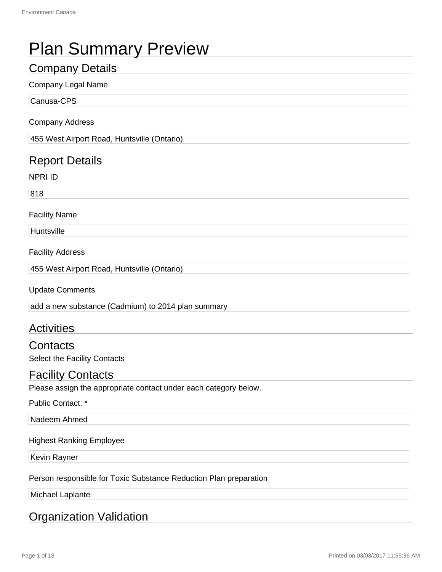# Plan Summary Preview

# Company Details

#### Company Legal Name

Canusa-CPS

#### Company Address

455 West Airport Road, Huntsville (Ontario)

# Report Details

NPRI ID

818

#### Facility Name

**Huntsville** 

Facility Address

455 West Airport Road, Huntsville (Ontario)

Update Comments

add a new substance (Cadmium) to 2014 plan summary

# **Activities**

**Contacts** Select the Facility Contacts

Facility Contacts

Please assign the appropriate contact under each category below.

Public Contact: \*

Nadeem Ahmed

#### Highest Ranking Employee

Kevin Rayner

Person responsible for Toxic Substance Reduction Plan preparation

Michael Laplante

# Organization Validation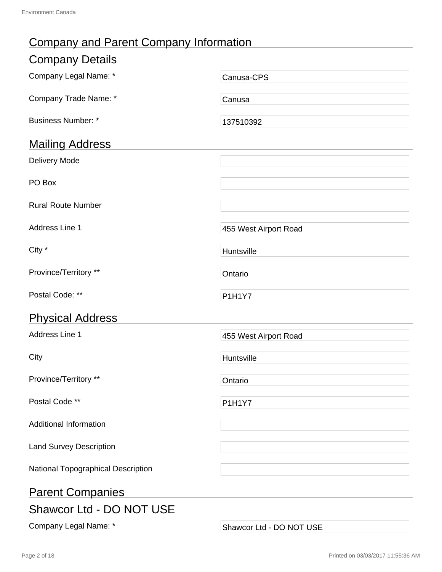# Company and Parent Company Information

| <b>Company Details</b>             |                          |  |
|------------------------------------|--------------------------|--|
| Company Legal Name: *              | Canusa-CPS               |  |
| Company Trade Name: *              | Canusa                   |  |
| <b>Business Number: *</b>          | 137510392                |  |
| <b>Mailing Address</b>             |                          |  |
| <b>Delivery Mode</b>               |                          |  |
| PO Box                             |                          |  |
| <b>Rural Route Number</b>          |                          |  |
| Address Line 1                     | 455 West Airport Road    |  |
| City *                             | Huntsville               |  |
| Province/Territory **              | Ontario                  |  |
| Postal Code: **                    | <b>P1H1Y7</b>            |  |
| <b>Physical Address</b>            |                          |  |
| Address Line 1                     | 455 West Airport Road    |  |
| City                               | Huntsville               |  |
| Province/Territory **              | Ontario                  |  |
| Postal Code **                     | P1H1Y7                   |  |
| <b>Additional Information</b>      |                          |  |
| <b>Land Survey Description</b>     |                          |  |
| National Topographical Description |                          |  |
| <b>Parent Companies</b>            |                          |  |
| Shawcor Ltd - DO NOT USE           |                          |  |
| Company Legal Name: *              | Shawcor Ltd - DO NOT USE |  |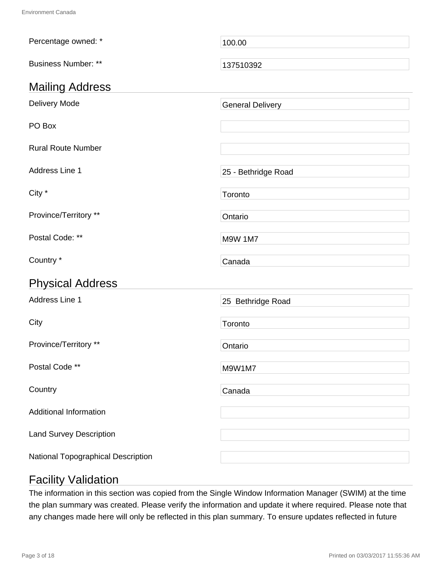| Percentage owned: *            | 100.00                  |
|--------------------------------|-------------------------|
| <b>Business Number: **</b>     | 137510392               |
| <b>Mailing Address</b>         |                         |
| Delivery Mode                  | <b>General Delivery</b> |
| PO Box                         |                         |
| <b>Rural Route Number</b>      |                         |
| Address Line 1                 | 25 - Bethridge Road     |
| City *                         | Toronto                 |
| Province/Territory **          | Ontario                 |
| Postal Code: **                | <b>M9W 1M7</b>          |
| Country *                      | Canada                  |
|                                |                         |
| <b>Physical Address</b>        |                         |
| Address Line 1                 | 25 Bethridge Road       |
| City                           | Toronto                 |
| Province/Territory **          | Ontario                 |
| Postal Code **                 | M9W1M7                  |
| Country                        | Canada                  |
| <b>Additional Information</b>  |                         |
| <b>Land Survey Description</b> |                         |

# Facility Validation

The information in this section was copied from the Single Window Information Manager (SWIM) at the time the plan summary was created. Please verify the information and update it where required. Please note that any changes made here will only be reflected in this plan summary. To ensure updates reflected in future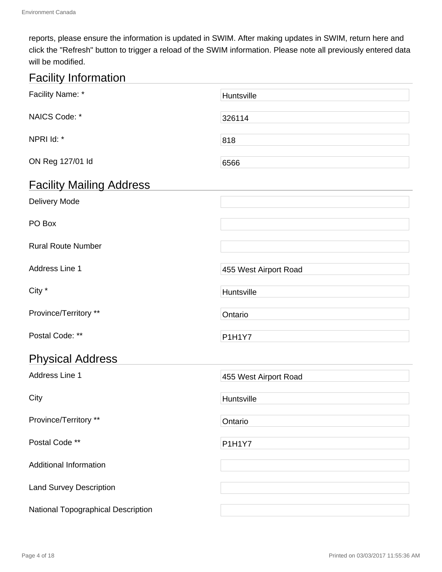reports, please ensure the information is updated in SWIM. After making updates in SWIM, return here and click the "Refresh" button to trigger a reload of the SWIM information. Please note all previously entered data will be modified.

# Facility Information

| Facility Name: *                   | Huntsville            |  |  |
|------------------------------------|-----------------------|--|--|
| NAICS Code: *                      | 326114                |  |  |
| NPRI Id: *                         | 818                   |  |  |
| ON Reg 127/01 ld                   | 6566                  |  |  |
| <b>Facility Mailing Address</b>    |                       |  |  |
| Delivery Mode                      |                       |  |  |
| PO Box                             |                       |  |  |
| <b>Rural Route Number</b>          |                       |  |  |
| Address Line 1                     | 455 West Airport Road |  |  |
| City *                             | Huntsville            |  |  |
| Province/Territory **              | Ontario               |  |  |
| Postal Code: **                    | <b>P1H1Y7</b>         |  |  |
| <b>Physical Address</b>            |                       |  |  |
| Address Line 1                     | 455 West Airport Road |  |  |
| City                               | Huntsville            |  |  |
| Province/Territory **              | Ontario               |  |  |
| Postal Code **                     | P1H1Y7                |  |  |
| <b>Additional Information</b>      |                       |  |  |
| <b>Land Survey Description</b>     |                       |  |  |
| National Topographical Description |                       |  |  |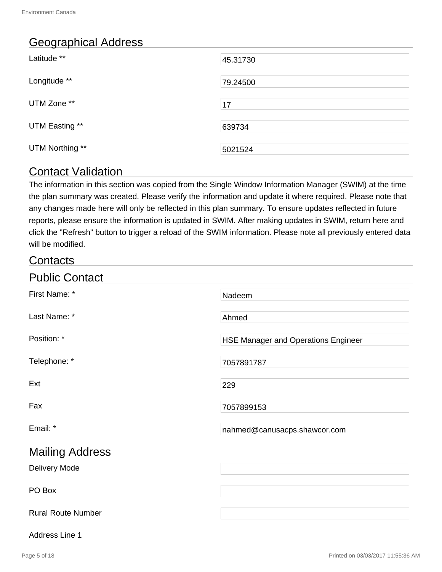# Geographical Address

| Latitude **     | 45.31730 |
|-----------------|----------|
| Longitude **    | 79.24500 |
| UTM Zone **     | 17       |
| UTM Easting **  | 639734   |
| UTM Northing ** | 5021524  |

# Contact Validation

The information in this section was copied from the Single Window Information Manager (SWIM) at the time the plan summary was created. Please verify the information and update it where required. Please note that any changes made here will only be reflected in this plan summary. To ensure updates reflected in future reports, please ensure the information is updated in SWIM. After making updates in SWIM, return here and click the "Refresh" button to trigger a reload of the SWIM information. Please note all previously entered data will be modified.

# **Contacts**

| <b>Public Contact</b>     |                                            |
|---------------------------|--------------------------------------------|
| First Name: *             | Nadeem                                     |
| Last Name: *              | Ahmed                                      |
| Position: *               | <b>HSE Manager and Operations Engineer</b> |
| Telephone: *              | 7057891787                                 |
| Ext                       | 229                                        |
| Fax                       | 7057899153                                 |
| Email: *                  | nahmed@canusacps.shawcor.com               |
| <b>Mailing Address</b>    |                                            |
| Delivery Mode             |                                            |
| PO Box                    |                                            |
| <b>Rural Route Number</b> |                                            |

#### Address Line 1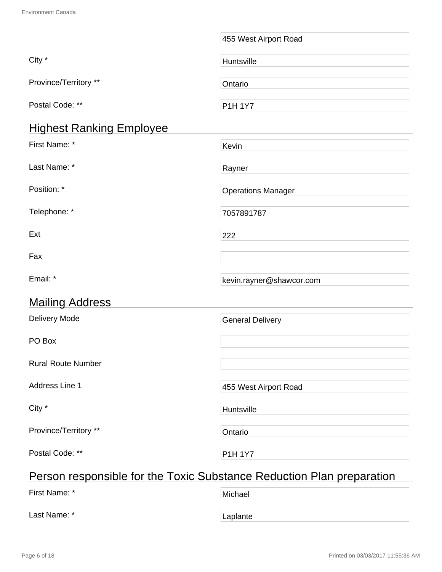|                                 | 455 West Airport Road                    |  |  |
|---------------------------------|------------------------------------------|--|--|
| City *                          | Huntsville                               |  |  |
| Province/Territory **           | Ontario                                  |  |  |
| Postal Code: **                 | P1H 1Y7                                  |  |  |
| <b>Highest Ranking Employee</b> |                                          |  |  |
| First Name: *                   | Kevin                                    |  |  |
| Last Name: *                    | Rayner                                   |  |  |
| Position: *                     | <b>Operations Manager</b>                |  |  |
| Telephone: *                    | 7057891787                               |  |  |
| Ext                             | 222                                      |  |  |
| Fax                             |                                          |  |  |
| Email: *                        | kevin.rayner@shawcor.com                 |  |  |
| <b>Mailing Address</b>          |                                          |  |  |
| Delivery Mode                   | <b>General Delivery</b>                  |  |  |
| PO Box                          |                                          |  |  |
| <b>Rural Route Number</b>       |                                          |  |  |
| Address Line 1                  | 455 West Airport Road                    |  |  |
| City *                          | Huntsville                               |  |  |
| Province/Territory **           | Ontario                                  |  |  |
| Postal Code: **                 | <b>P1H 1Y7</b>                           |  |  |
|                                 | $\overline{\mathcal{L}}$<br>ممال مملدينا |  |  |

# Person responsible for the Toxic Substance Reduction Plan preparation

| First Name: * | Michael  |
|---------------|----------|
| Last Name: *  | Laplante |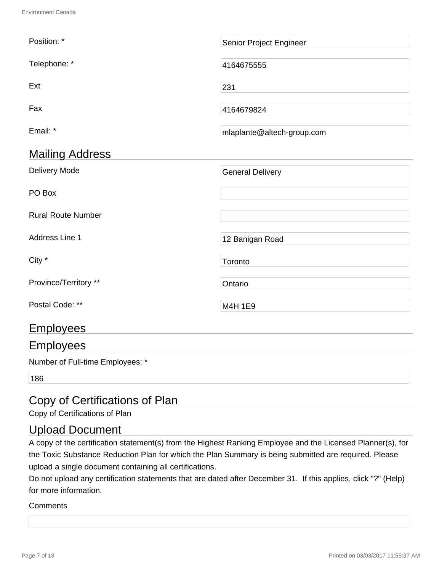| Position: *               | Senior Project Engineer    |
|---------------------------|----------------------------|
| Telephone: *              | 4164675555                 |
| Ext                       | 231                        |
| Fax                       | 4164679824                 |
| Email: *                  | mlaplante@altech-group.com |
| <b>Mailing Address</b>    |                            |
| <b>Delivery Mode</b>      | <b>General Delivery</b>    |
| PO Box                    |                            |
| <b>Rural Route Number</b> |                            |
| Address Line 1            | 12 Banigan Road            |
| City *                    | Toronto                    |
| Province/Territory **     | Ontario                    |
| Postal Code: **           | M4H 1E9                    |
| <b>Employees</b>          |                            |
| <b>Employees</b>          |                            |

Number of Full-time Employees: \*

186

# Copy of Certifications of Plan

Copy of Certifications of Plan

# Upload Document

A copy of the certification statement(s) from the Highest Ranking Employee and the Licensed Planner(s), for the Toxic Substance Reduction Plan for which the Plan Summary is being submitted are required. Please upload a single document containing all certifications.

Do not upload any certification statements that are dated after December 31. If this applies, click "?" (Help) for more information.

#### **Comments**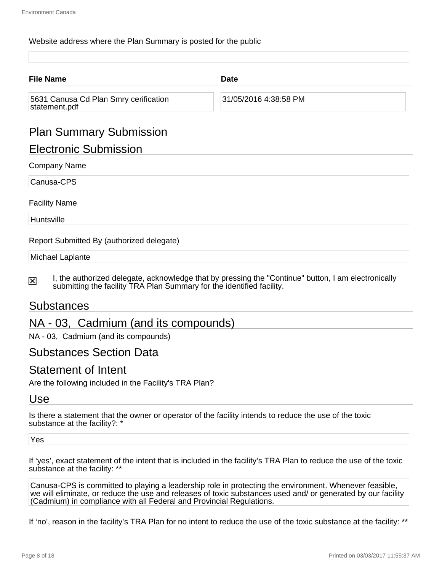#### Website address where the Plan Summary is posted for the public

| <b>Date</b>           |
|-----------------------|
| 31/05/2016 4:38:58 PM |
|                       |

# Plan Summary Submission

# Electronic Submission

#### Company Name

Canusa-CPS

#### Facility Name

**Huntsville** 

Report Submitted By (authorized delegate)

#### Michael Laplante

I, the authorized delegate, acknowledge that by pressing the "Continue" button, I am electronically 冈 submitting the facility TRA Plan Summary for the identified facility.

# Substances

# NA - 03, Cadmium (and its compounds)

NA - 03, Cadmium (and its compounds)

# Substances Section Data

# Statement of Intent

Are the following included in the Facility's TRA Plan?

# Use

Is there a statement that the owner or operator of the facility intends to reduce the use of the toxic substance at the facility?: \*

Yes

If 'yes', exact statement of the intent that is included in the facility's TRA Plan to reduce the use of the toxic substance at the facility: \*\*

Canusa-CPS is committed to playing a leadership role in protecting the environment. Whenever feasible, we will eliminate, or reduce the use and releases of toxic substances used and/ or generated by our facility (Cadmium) in compliance with all Federal and Provincial Regulations.

If 'no', reason in the facility's TRA Plan for no intent to reduce the use of the toxic substance at the facility: \*\*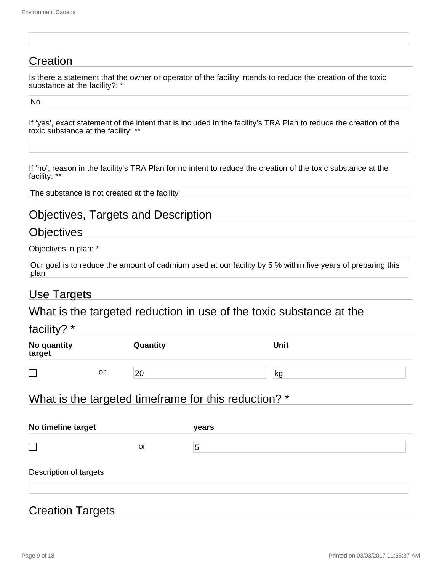# **Creation**

Is there a statement that the owner or operator of the facility intends to reduce the creation of the toxic substance at the facility?: \*

No

If 'yes', exact statement of the intent that is included in the facility's TRA Plan to reduce the creation of the toxic substance at the facility: \*\*

If 'no', reason in the facility's TRA Plan for no intent to reduce the creation of the toxic substance at the facility: \*\*

The substance is not created at the facility

# Objectives, Targets and Description

# **Objectives**

Objectives in plan: \*

| Our goal is to reduce the amount of cadmium used at our facility by 5 % within five years of preparing this |  |
|-------------------------------------------------------------------------------------------------------------|--|
| plan                                                                                                        |  |

# Use Targets

# What is the targeted reduction in use of the toxic substance at the

# facility? \*

| No quantity<br>target    |    | Quantity | <b>Unit</b> |
|--------------------------|----|----------|-------------|
| $\overline{\phantom{0}}$ | or | 20       | kg          |

# What is the targeted timeframe for this reduction? \*

| No timeline target     |    | years          |  |  |
|------------------------|----|----------------|--|--|
| $\Box$                 | or | $\overline{5}$ |  |  |
| Description of targets |    |                |  |  |
|                        |    |                |  |  |

# Creation Targets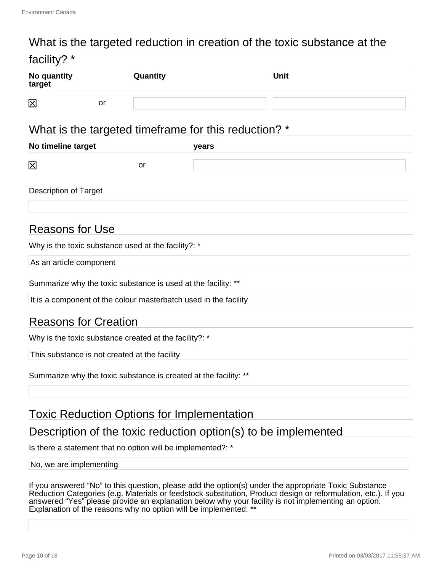# What is the targeted reduction in creation of the toxic substance at the

| facility? *                                                      |          |                                                      |  |
|------------------------------------------------------------------|----------|------------------------------------------------------|--|
| No quantity<br>target                                            | Quantity | <b>Unit</b>                                          |  |
| $\mathbf{\overline{X}}$<br>or                                    |          |                                                      |  |
|                                                                  |          | What is the targeted timeframe for this reduction? * |  |
| No timeline target                                               |          | years                                                |  |
| $\mathbf{\overline{x}}$                                          | or       |                                                      |  |
| <b>Description of Target</b>                                     |          |                                                      |  |
| <b>Reasons for Use</b>                                           |          |                                                      |  |
| Why is the toxic substance used at the facility?: *              |          |                                                      |  |
| As an article component                                          |          |                                                      |  |
| Summarize why the toxic substance is used at the facility: **    |          |                                                      |  |
| It is a component of the colour masterbatch used in the facility |          |                                                      |  |
| <b>Reasons for Creation</b>                                      |          |                                                      |  |
| Why is the toxic substance created at the facility?: *           |          |                                                      |  |
| This substance is not created at the facility                    |          |                                                      |  |
| Summarize why the toxic substance is created at the facility: ** |          |                                                      |  |
|                                                                  |          |                                                      |  |

# Toxic Reduction Options for Implementation

# Description of the toxic reduction option(s) to be implemented

Is there a statement that no option will be implemented?: \*

#### No, we are implementing

If you answered "No" to this question, please add the option(s) under the appropriate Toxic Substance Reduction Categories (e.g. Materials or feedstock substitution, Product design or reformulation, etc.). If you answered "Yes" please provide an explanation below why your facility is not implementing an option. Explanation of the reasons why no option will be implemented: \*\*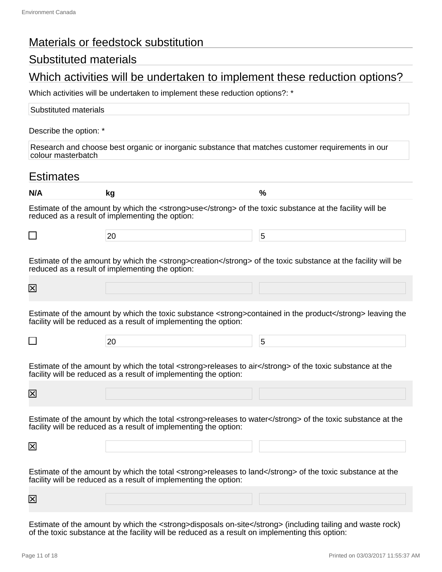# Materials or feedstock substitution

# Substituted materials

# Which activities will be undertaken to implement these reduction options?

Which activities will be undertaken to implement these reduction options?: \*

| Substituted materials                                                                                                   |  |
|-------------------------------------------------------------------------------------------------------------------------|--|
| Describe the option: *                                                                                                  |  |
| Research and choose best organic or inorganic substance that matches customer requirements in our<br>colour masterbatch |  |

# **Estimates**

| N/A                     | kg                                                                                                                                                                             | %                                                                                                         |
|-------------------------|--------------------------------------------------------------------------------------------------------------------------------------------------------------------------------|-----------------------------------------------------------------------------------------------------------|
|                         | Estimate of the amount by which the <strong>use</strong> of the toxic substance at the facility will be<br>reduced as a result of implementing the option:                     |                                                                                                           |
| $\Box$                  | 20                                                                                                                                                                             | 5                                                                                                         |
|                         | Estimate of the amount by which the <strong>creation</strong> of the toxic substance at the facility will be<br>reduced as a result of implementing the option:                |                                                                                                           |
| $\boxtimes$             |                                                                                                                                                                                |                                                                                                           |
|                         | facility will be reduced as a result of implementing the option:                                                                                                               | Estimate of the amount by which the toxic substance <strong>contained in the product</strong> leaving the |
| $\Box$                  | 20                                                                                                                                                                             | 5                                                                                                         |
|                         | Estimate of the amount by which the total <strong>releases to air</strong> of the toxic substance at the<br>facility will be reduced as a result of implementing the option:   |                                                                                                           |
| $\boxtimes$             |                                                                                                                                                                                |                                                                                                           |
|                         | Estimate of the amount by which the total <strong>releases to water</strong> of the toxic substance at the<br>facility will be reduced as a result of implementing the option: |                                                                                                           |
| ⊠                       |                                                                                                                                                                                |                                                                                                           |
|                         | Estimate of the amount by which the total <strong>releases to land</strong> of the toxic substance at the<br>facility will be reduced as a result of implementing the option:  |                                                                                                           |
| $\mathsf{\overline{X}}$ |                                                                                                                                                                                |                                                                                                           |

Estimate of the amount by which the <strong>disposals on-site</strong> (including tailing and waste rock) of the toxic substance at the facility will be reduced as a result on implementing this option: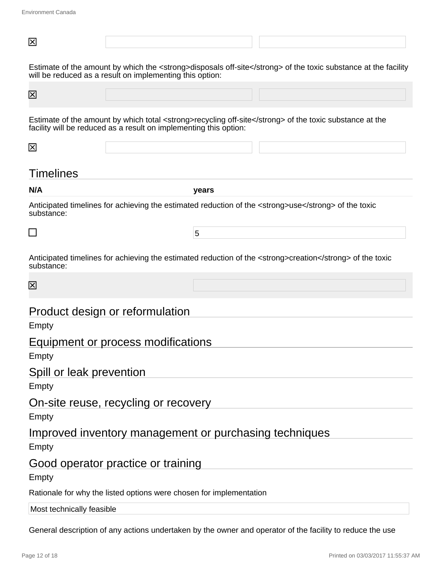| 区                         |                                                                     |       |                                                                                                                |
|---------------------------|---------------------------------------------------------------------|-------|----------------------------------------------------------------------------------------------------------------|
|                           | will be reduced as a result on implementing this option:            |       | Estimate of the amount by which the <strong>disposals off-site</strong> of the toxic substance at the facility |
| $\mathbf{\overline{X}}$   |                                                                     |       |                                                                                                                |
|                           | facility will be reduced as a result on implementing this option:   |       | Estimate of the amount by which total <strong>recycling off-site</strong> of the toxic substance at the        |
| 区                         |                                                                     |       |                                                                                                                |
| <b>Timelines</b>          |                                                                     |       |                                                                                                                |
| N/A                       |                                                                     | years |                                                                                                                |
| substance:                |                                                                     |       | Anticipated timelines for achieving the estimated reduction of the <strong>use</strong> of the toxic           |
| $\Box$                    |                                                                     | 5     |                                                                                                                |
| substance:                |                                                                     |       | Anticipated timelines for achieving the estimated reduction of the <strong>creation</strong> of the toxic      |
| 区                         |                                                                     |       |                                                                                                                |
| Empty                     | Product design or reformulation                                     |       |                                                                                                                |
|                           |                                                                     |       |                                                                                                                |
| Empty                     | Equipment or process modifications                                  |       |                                                                                                                |
| Spill or leak prevention  |                                                                     |       |                                                                                                                |
| Empty                     |                                                                     |       |                                                                                                                |
|                           | On-site reuse, recycling or recovery                                |       |                                                                                                                |
| Empty                     |                                                                     |       |                                                                                                                |
|                           | Improved inventory management or purchasing techniques              |       |                                                                                                                |
| Empty                     |                                                                     |       |                                                                                                                |
| Empty                     | Good operator practice or training                                  |       |                                                                                                                |
|                           | Rationale for why the listed options were chosen for implementation |       |                                                                                                                |
| Most technically feasible |                                                                     |       |                                                                                                                |

General description of any actions undertaken by the owner and operator of the facility to reduce the use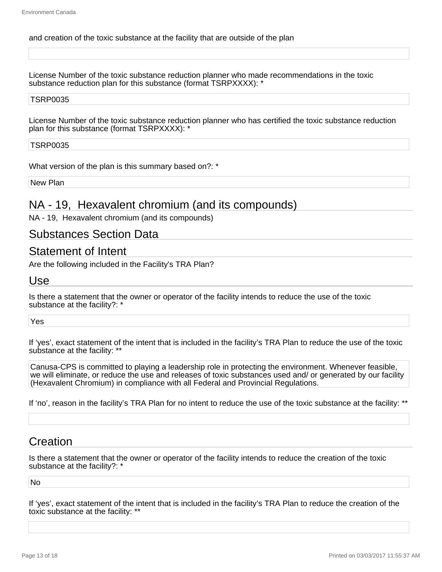#### and creation of the toxic substance at the facility that are outside of the plan

License Number of the toxic substance reduction planner who made recommendations in the toxic substance reduction plan for this substance (format TSRPXXXX): \*

#### TSRP0035

License Number of the toxic substance reduction planner who has certified the toxic substance reduction plan for this substance (format TSRPXXXX): \*

#### TSRP0035

What version of the plan is this summary based on?: \*

New Plan

# NA - 19, Hexavalent chromium (and its compounds)

NA - 19, Hexavalent chromium (and its compounds)

# Substances Section Data

### Statement of Intent

Are the following included in the Facility's TRA Plan?

#### Use

Is there a statement that the owner or operator of the facility intends to reduce the use of the toxic substance at the facility?: \*

Yes

If 'yes', exact statement of the intent that is included in the facility's TRA Plan to reduce the use of the toxic substance at the facility: \*\*

Canusa-CPS is committed to playing a leadership role in protecting the environment. Whenever feasible, we will eliminate, or reduce the use and releases of toxic substances used and/ or generated by our facility (Hexavalent Chromium) in compliance with all Federal and Provincial Regulations.

If 'no', reason in the facility's TRA Plan for no intent to reduce the use of the toxic substance at the facility: \*\*

# **Creation**

Is there a statement that the owner or operator of the facility intends to reduce the creation of the toxic substance at the facility?: \*

No

If 'yes', exact statement of the intent that is included in the facility's TRA Plan to reduce the creation of the toxic substance at the facility: \*\*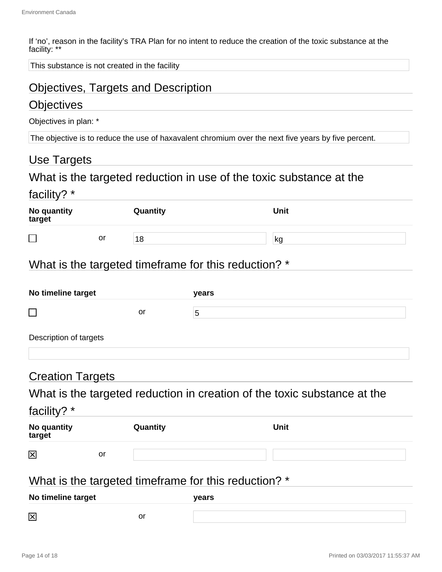If 'no', reason in the facility's TRA Plan for no intent to reduce the creation of the toxic substance at the facility: \*\*

This substance is not created in the facility

# Objectives, Targets and Description

# **Objectives**

Objectives in plan: \*

The objective is to reduce the use of haxavalent chromium over the next five years by five percent.

# Use Targets

# What is the targeted reduction in use of the toxic substance at the

# facility? \*

| No quantity<br>target |    | Quantity | <b>Unit</b> |
|-----------------------|----|----------|-------------|
| $\Box$                | or | 18       | kg          |

# What is the targeted timeframe for this reduction? \*

| No timeline target     |    | years |
|------------------------|----|-------|
|                        | or | 5     |
| Description of targets |    |       |

# Creation Targets

# What is the targeted reduction in creation of the toxic substance at the

| <sup>-</sup> acılıt |  |
|---------------------|--|
|                     |  |

| No quantity<br>target |    | Quantity | Unit |
|-----------------------|----|----------|------|
| $\boxtimes$           | or |          |      |

# What is the targeted timeframe for this reduction? \*

| No timeline target |    | <b>vears</b> |  |
|--------------------|----|--------------|--|
| 区                  | or |              |  |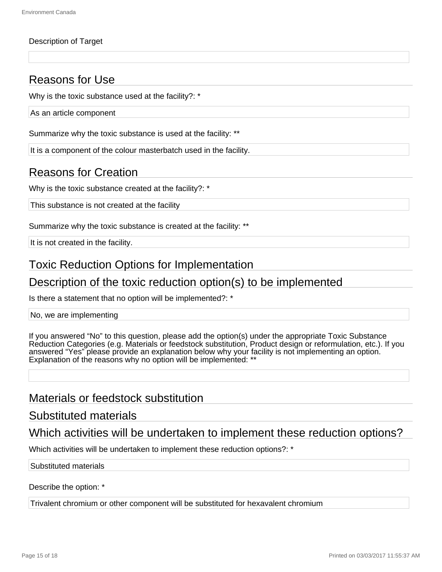#### Description of Target

# Reasons for Use

Why is the toxic substance used at the facility?: \*

As an article component

Summarize why the toxic substance is used at the facility: \*\*

It is a component of the colour masterbatch used in the facility.

# Reasons for Creation

Why is the toxic substance created at the facility?: \*

This substance is not created at the facility

Summarize why the toxic substance is created at the facility: \*\*

It is not created in the facility.

# Toxic Reduction Options for Implementation

# Description of the toxic reduction option(s) to be implemented

Is there a statement that no option will be implemented?: \*

No, we are implementing

If you answered "No" to this question, please add the option(s) under the appropriate Toxic Substance Reduction Categories (e.g. Materials or feedstock substitution, Product design or reformulation, etc.). If you answered "Yes" please provide an explanation below why your facility is not implementing an option. Explanation of the reasons why no option will be implemented: \*

# Materials or feedstock substitution

#### Substituted materials

# Which activities will be undertaken to implement these reduction options?

Which activities will be undertaken to implement these reduction options?: \*

#### Substituted materials

Describe the option: \*

Trivalent chromium or other component will be substituted for hexavalent chromium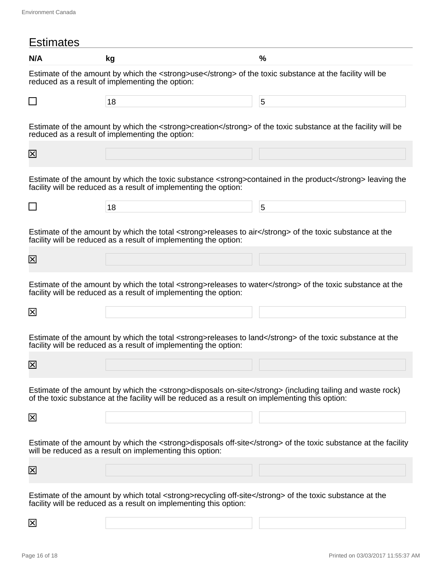| <b>Estimates</b>        |                                                                                                                                                                                                              |                                                                                                                |
|-------------------------|--------------------------------------------------------------------------------------------------------------------------------------------------------------------------------------------------------------|----------------------------------------------------------------------------------------------------------------|
| N/A                     | kg                                                                                                                                                                                                           | %                                                                                                              |
|                         | Estimate of the amount by which the <strong>use</strong> of the toxic substance at the facility will be<br>reduced as a result of implementing the option:                                                   |                                                                                                                |
|                         | 18                                                                                                                                                                                                           | 5                                                                                                              |
|                         | Estimate of the amount by which the <strong>creation</strong> of the toxic substance at the facility will be<br>reduced as a result of implementing the option:                                              |                                                                                                                |
| $\mathsf{\overline{X}}$ |                                                                                                                                                                                                              |                                                                                                                |
|                         | facility will be reduced as a result of implementing the option:                                                                                                                                             | Estimate of the amount by which the toxic substance <strong>contained in the product</strong> leaving the      |
| ⊔                       | 18                                                                                                                                                                                                           | 5                                                                                                              |
|                         | Estimate of the amount by which the total <strong>releases to air</strong> of the toxic substance at the<br>facility will be reduced as a result of implementing the option:                                 |                                                                                                                |
| $\boxtimes$             |                                                                                                                                                                                                              |                                                                                                                |
|                         | facility will be reduced as a result of implementing the option:                                                                                                                                             | Estimate of the amount by which the total <strong>releases to water</strong> of the toxic substance at the     |
| 区                       |                                                                                                                                                                                                              |                                                                                                                |
|                         | Estimate of the amount by which the total <strong>releases to land</strong> of the toxic substance at the<br>facility will be reduced as a result of implementing the option:                                |                                                                                                                |
| $\mathsf{X}$            |                                                                                                                                                                                                              |                                                                                                                |
|                         | Estimate of the amount by which the <strong>disposals on-site</strong> (including tailing and waste rock)<br>of the toxic substance at the facility will be reduced as a result on implementing this option: |                                                                                                                |
| 区                       |                                                                                                                                                                                                              |                                                                                                                |
|                         | will be reduced as a result on implementing this option:                                                                                                                                                     | Estimate of the amount by which the <strong>disposals off-site</strong> of the toxic substance at the facility |
| $\overline{\mathsf{x}}$ |                                                                                                                                                                                                              |                                                                                                                |
|                         | Estimate of the amount by which total <strong>recycling off-site</strong> of the toxic substance at the<br>facility will be reduced as a result on implementing this option:                                 |                                                                                                                |
| $\overline{\mathsf{x}}$ |                                                                                                                                                                                                              |                                                                                                                |

Page 16 of 18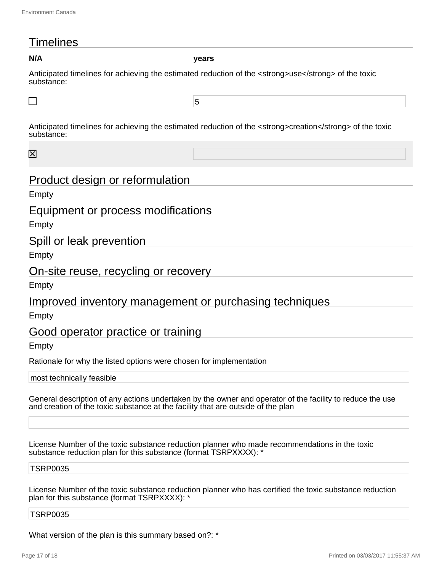# **Timelines**

**N/A years**

Anticipated timelines for achieving the estimated reduction of the <strong>use</strong> of the toxic substance:

5

Anticipated timelines for achieving the estimated reduction of the <strong>creation</strong> of the toxic substance:

冈

# Product design or reformulation

Empty

# Equipment or process modifications

Empty

# Spill or leak prevention

Empty

# On-site reuse, recycling or recovery

Empty

# Improved inventory management or purchasing techniques

Empty

# Good operator practice or training

Empty

Rationale for why the listed options were chosen for implementation

most technically feasible

General description of any actions undertaken by the owner and operator of the facility to reduce the use and creation of the toxic substance at the facility that are outside of the plan

License Number of the toxic substance reduction planner who made recommendations in the toxic substance reduction plan for this substance (format TSRPXXXX): \*

#### TSRP0035

License Number of the toxic substance reduction planner who has certified the toxic substance reduction plan for this substance (format TSRPXXXX): \*

#### TSRP0035

What version of the plan is this summary based on?: \*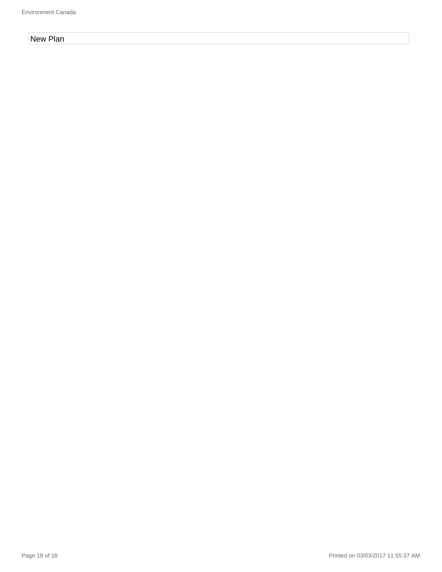#### New Plan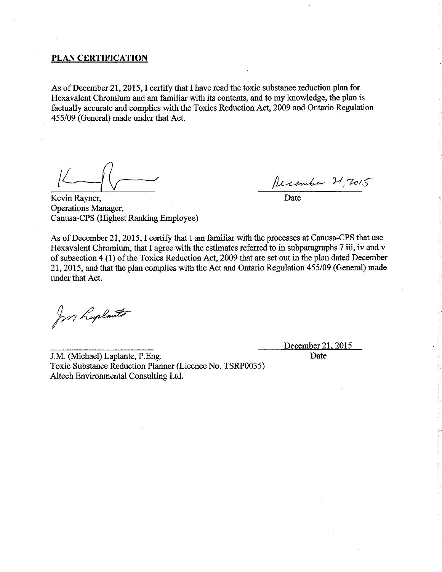#### **PLAN CERTIFICATION**

As of December 21, 2015, I certify that I have read the toxic substance reduction plan for Hexavalent Chromium and am familiar with its contents, and to my knowledge, the plan is factually accurate and complies with the Toxics Reduction Act, 2009 and Ontario Regulation 455/09 (General) made under that Act.

Recember 21, 7015

 $\overline{\overline{\mathrm{Date}}}$ 

Kevin Rayner, **Operations Manager,** Canusa-CPS (Highest Ranking Employee)

As of December 21, 2015, I certify that I am familiar with the processes at Canusa-CPS that use Hexavalent Chromium, that I agree with the estimates referred to in subparagraphs 7 iii, iv and v of subsection 4 (1) of the Toxics Reduction Act, 2009 that are set out in the plan dated December 21, 2015, and that the plan complies with the Act and Ontario Regulation 455/09 (General) made under that Act.

for hoplants

December 21, 2015

Date

J.M. (Michael) Laplante, P.Eng. Toxic Substance Reduction Planner (Licence No. TSRP0035) Altech Environmental Consulting Ltd.